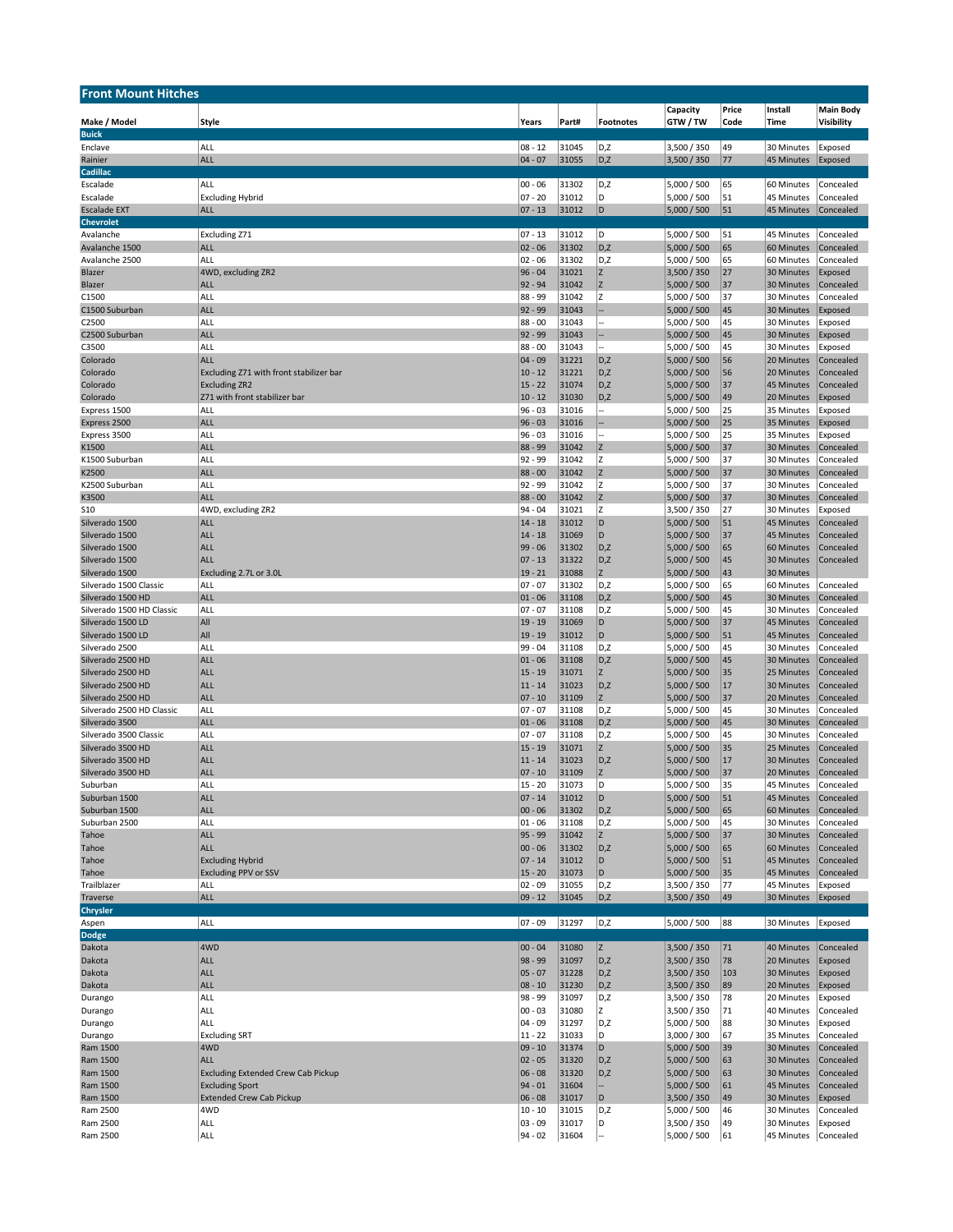| <b>Front Mount Hitches</b>                  |                                                 |                         |                |                  |                            |          |                          |                        |
|---------------------------------------------|-------------------------------------------------|-------------------------|----------------|------------------|----------------------------|----------|--------------------------|------------------------|
|                                             |                                                 |                         |                |                  | Capacity                   | Price    | Install                  | <b>Main Body</b>       |
| Make / Model                                | Style                                           | Years                   | Part#          | <b>Footnotes</b> | GTW/TW                     | Code     | Time                     | Visibility             |
| <b>Buick</b><br>Enclave                     | ALL                                             | $08 - 12$               | 31045          | D,Z              | 3,500 / 350                | 49       | 30 Minutes               | Exposed                |
| Rainier                                     | <b>ALL</b>                                      | $04 - 07$               | 31055          | D,Z              | 3,500 / 350                | 77       | 45 Minutes               | Exposed                |
| Cadillac                                    |                                                 |                         |                |                  |                            |          |                          |                        |
| Escalade                                    | ALL                                             | $ 00 - 06$              | 31302          | D,Z              | 5,000 / 500                | 65       | 60 Minutes               | Concealed              |
| Escalade                                    | <b>Excluding Hybrid</b>                         | $07 - 20$               | 31012          | D                | 5,000 / 500                | 51       | 45 Minutes               | Concealed              |
| <b>Escalade EXT</b>                         | <b>ALL</b>                                      | $07 - 13$               | 31012          | D                | 5,000 / 500                | 51       | 45 Minutes               | Concealed              |
| <b>Chevrolet</b><br>Avalanche               | Excluding Z71                                   | $07 - 13$               | 31012          | D                | 5,000 / 500                | 51       | 45 Minutes               | Concealed              |
| Avalanche 1500                              | <b>ALL</b>                                      | $02 - 06$               | 31302          | D,Z              | 5,000 / 500                | 65       | 60 Minutes               | Concealed              |
| Avalanche 2500                              | ALL                                             | $02 - 06$               | 31302          | D,Z              | 5,000 / 500                | 65       | 60 Minutes               | Concealed              |
| Blazer                                      | 4WD, excluding ZR2                              | $96 - 04$               | 31021          | Z                | 3,500 / 350                | 27       | 30 Minutes               | Exposed                |
| Blazer                                      | <b>ALL</b>                                      | $92 - 94$               | 31042          | Z                | 5,000 / 500                | 37       | 30 Minutes               | Concealed              |
| C1500                                       | <b>ALL</b><br><b>ALL</b>                        | 88 - 99                 | 31042<br>31043 | Z                | 5,000 / 500                | 37       | 30 Minutes               | Concealed              |
| C1500 Suburban<br>C2500                     | <b>ALL</b>                                      | $92 - 99$<br>$88 - 00$  | 31043          |                  | 5,000 / 500<br>5,000 / 500 | 45<br>45 | 30 Minutes<br>30 Minutes | Exposed<br>Exposed     |
| C2500 Suburban                              | <b>ALL</b>                                      | $92 - 99$               | 31043          |                  | 5,000 / 500                | 45       | 30 Minutes               | Exposed                |
| C3500                                       | ALL                                             | $88 - 00$               | 31043          |                  | 5,000 / 500                | 45       | 30 Minutes               | Exposed                |
| Colorado                                    | <b>ALL</b>                                      | $04 - 09$               | 31221          | D,Z              | 5,000 / 500                | 56       | 20 Minutes               | Concealed              |
| Colorado                                    | Excluding Z71 with front stabilizer bar         | $10 - 12$               | 31221          | D,Z              | 5,000 / 500                | 56       | 20 Minutes               | Concealed              |
| Colorado                                    | <b>Excluding ZR2</b>                            | $15 - 22$               | 31074          | D,Z              | 5,000 / 500                | 37       | <b>45 Minutes</b>        | Concealed              |
| Colorado<br>Express 1500                    | Z71 with front stabilizer bar<br>ALL            | $10 - 12$<br>$96 - 03$  | 31030<br>31016 | D,Z              | 5,000 / 500<br>5,000 / 500 | 49<br>25 | 20 Minutes<br>35 Minutes | Exposed<br>Exposed     |
| Express 2500                                | <b>ALL</b>                                      | $96 - 03$               | 31016          |                  | 5,000 / 500                | 25       | 35 Minutes               | Exposed                |
| Express 3500                                | <b>ALL</b>                                      | $96 - 03$               | 31016          |                  | 5,000 / 500                | 25       | 35 Minutes               | Exposed                |
| K1500                                       | <b>ALL</b>                                      | 88 - 99                 | 31042          | Z                | 5,000 / 500                | 37       | 30 Minutes               | Concealed              |
| K1500 Suburban                              | <b>ALL</b>                                      | 92 - 99                 | 31042          | Z                | 5,000 / 500                | 37       | 30 Minutes               | Concealed              |
| K2500                                       | <b>ALL</b>                                      | $88 - 00$               | 31042          | Z                | 5,000 / 500                | 37       | 30 Minutes               | Concealed              |
| K2500 Suburban                              | ALL                                             | $92 - 99$               | 31042          | Z                | 5,000 / 500                | 37       | 30 Minutes               | Concealed<br>Concealed |
| K3500<br>S <sub>10</sub>                    | <b>ALL</b><br>4WD, excluding ZR2                | $88 - 00$<br>$94 - 04$  | 31042<br>31021 | Z<br>Z           | 5,000 / 500<br>3,500 / 350 | 37<br>27 | 30 Minutes<br>30 Minutes | Exposed                |
| Silverado 1500                              | <b>ALL</b>                                      | $14 - 18$               | 31012          | D                | 5,000 / 500                | 51       | <b>45 Minutes</b>        | Concealed              |
| Silverado 1500                              | <b>ALL</b>                                      | $14 - 18$               | 31069          | D                | 5,000 / 500                | 37       | <b>45 Minutes</b>        | Concealed              |
| Silverado 1500                              | <b>ALL</b>                                      | $99 - 06$               | 31302          | D,Z              | 5,000 / 500                | 65       | 60 Minutes               | Concealed              |
| Silverado 1500                              | <b>ALL</b>                                      | $07 - 13$               | 31322          | D,Z              | 5,000 / 500                | 45       | 30 Minutes               | Concealed              |
| Silverado 1500                              | Excluding 2.7L or 3.0L                          | $19 - 21$               | 31088          | Z                | 5,000 / 500                | 43       | 30 Minutes               |                        |
| Silverado 1500 Classic<br>Silverado 1500 HD | ALL<br>ALL                                      | $07 - 07$<br>$01 - 06$  | 31302<br>31108 | D,Z<br>D,Z       | 5,000 / 500<br>5,000 / 500 | 65<br>45 | 60 Minutes<br>30 Minutes | Concealed<br>Concealed |
| Silverado 1500 HD Classic                   | <b>ALL</b>                                      | $07 - 07$               | 31108          | D,Z              | 5,000 / 500                | 45       | 30 Minutes               | Concealed              |
| Silverado 1500 LD                           | All                                             | $19 - 19$               | 31069          | D                | 5,000 / 500                | 37       | <b>45 Minutes</b>        | Concealed              |
| Silverado 1500 LD                           | All                                             | $19 - 19$               | 31012          | D                | 5,000 / 500                | 51       | <b>45 Minutes</b>        | Concealed              |
| Silverado 2500                              | <b>ALL</b>                                      | 99 - 04                 | 31108          | D,Z              | 5,000 / 500                | 45       | 30 Minutes               | Concealed              |
| Silverado 2500 HD                           | <b>ALL</b>                                      | $01 - 06$               | 31108          | D,Z              | 5,000 / 500                | 45       | 30 Minutes               | Concealed              |
| Silverado 2500 HD<br>Silverado 2500 HD      | <b>ALL</b><br><b>ALL</b>                        | $15 - 19$<br>$11 - 14$  | 31071<br>31023 | Z<br>D,Z         | 5,000 / 500<br>5,000 / 500 | 35<br>17 | 25 Minutes<br>30 Minutes | Concealed<br>Concealed |
| Silverado 2500 HD                           | <b>ALL</b>                                      | $ 07 - 10$              | 31109          | Z                | 5,000 / 500                | 37       | 20 Minutes               | Concealed              |
| Silverado 2500 HD Classic                   | <b>ALL</b>                                      | $07 - 07$               | 31108          | D,Z              | 5,000 / 500                | 45       | 30 Minutes               | Concealed              |
| Silverado 3500                              | <b>ALL</b>                                      | $01 - 06$               | 31108          | D,Z              | 5,000 / 500                | 45       | 30 Minutes               | Concealed              |
| Silverado 3500 Classic                      | <b>ALL</b>                                      | $07 - 07$               | 31108          | D,Z              | 5,000 / 500                | 45       | 30 Minutes               | Concealed              |
| Silverado 3500 HD                           | <b>ALL</b>                                      | $15 - 19$               | 31071          | Z                | 5,000 / 500                | 35       | 25 Minutes               | Concealed              |
| Silverado 3500 HD<br>Silverado 3500 HD      | <b>ALL</b><br><b>ALL</b>                        | $11 - 14$<br>$07 - 10$  | 31023<br>31109 | D,Z<br>Z         | 5,000 / 500<br>5,000 / 500 | 17<br>37 | 30 Minutes<br>20 Minutes | Concealed<br>Concealed |
| Suburban                                    | ALL                                             | $15 - 20$               | 31073          | D                | 5,000 / 500                | 35       | 45 Minutes               | Concealed              |
| Suburban 1500                               | <b>ALL</b>                                      | $07 - 14$               | 31012          | D                | 5,000 / 500                | 51       | 45 Minutes               | Concealed              |
| Suburban 1500                               | <b>ALL</b>                                      | $ 00 - 06 $             | 31302          | D,Z              | 5,000 / 500                | 65       | 60 Minutes               | Concealed              |
| Suburban 2500                               | <b>ALL</b>                                      | $01 - 06$               | 31108          | D,Z              | 5,000 / 500                | 45       | 30 Minutes               | Concealed              |
| Tahoe                                       | <b>ALL</b>                                      | $95 - 99$               | 31042          | Z                | 5,000 / 500                | 37       | 30 Minutes               | Concealed              |
| Tahoe                                       | <b>ALL</b>                                      | $00 - 06$<br>$07 - 14$  | 31302<br>31012 | D,Z<br>D         | 5,000 / 500<br>5,000 / 500 | 65<br>51 | 60 Minutes<br>45 Minutes | Concealed<br>Concealed |
| Tahoe<br>Tahoe                              | <b>Excluding Hybrid</b><br>Excluding PPV or SSV | $15 - 20$               | 31073          | D                | 5,000 / 500                | 35       | <b>45 Minutes</b>        | Concealed              |
| Trailblazer                                 | ALL                                             | $02 - 09$               | 31055          | D,Z              | 3,500 / 350                | 77       | 45 Minutes               | Exposed                |
| Traverse                                    | <b>ALL</b>                                      | $09 - 12$               | 31045          | D,Z              | 3,500 / 350                | 49       | 30 Minutes               | Exposed                |
| Chrysler                                    |                                                 |                         |                |                  |                            |          |                          |                        |
| Aspen                                       | ALL                                             | $07 - 09$               | 31297          | D,Z              | 5,000 / 500                | 88       | 30 Minutes               | Exposed                |
| <b>Dodge</b>                                |                                                 |                         |                |                  |                            |          | 40 Minutes               |                        |
| Dakota<br>Dakota                            | 4WD<br><b>ALL</b>                               | $ 00 - 04$<br>$98 - 99$ | 31080<br>31097 | Z<br>D,Z         | 3,500 / 350<br>3,500 / 350 | 71<br>78 | 20 Minutes               | Concealed<br>Exposed   |
| Dakota                                      | <b>ALL</b>                                      | $05 - 07$               | 31228          | D,Z              | 3,500 / 350                | 103      | 30 Minutes               | Exposed                |
| Dakota                                      | <b>ALL</b>                                      | $08 - 10$               | 31230          | D,Z              | 3,500 / 350                | 89       | 20 Minutes               | Exposed                |
| Durango                                     | <b>ALL</b>                                      | 98 - 99                 | 31097          | D,Z              | 3,500 / 350                | 78       | 20 Minutes               | Exposed                |
| Durango                                     | ALL                                             | $00 - 03$               | 31080          | Z                | 3,500 / 350                | 71       | 40 Minutes               | Concealed              |
| Durango                                     | ALL                                             | $04 - 09$               | 31297          | D,Z              | 5,000 / 500                | 88       | 30 Minutes               | Exposed                |
| Durango                                     | <b>Excluding SRT</b><br>4WD                     | $11 - 22$               | 31033          | D                | 3,000 / 300                | 67       | 35 Minutes               | Concealed              |
| Ram 1500<br>Ram 1500                        | <b>ALL</b>                                      | $09 - 10$<br>$02 - 05$  | 31374<br>31320 | D<br>D,Z         | 5,000 / 500<br>5,000 / 500 | 39<br>63 | 30 Minutes<br>30 Minutes | Concealed<br>Concealed |
| Ram 1500                                    | <b>Excluding Extended Crew Cab Pickup</b>       | $06 - 08$               | 31320          | D,Z              | 5,000 / 500                | 63       | 30 Minutes               | Concealed              |
| Ram 1500                                    | <b>Excluding Sport</b>                          | $94 - 01$               | 31604          |                  | 5,000 / 500                | 61       | <b>45 Minutes</b>        | Concealed              |
| Ram 1500                                    | <b>Extended Crew Cab Pickup</b>                 | $06 - 08$               | 31017          | D                | 3,500 / 350                | 49       | 30 Minutes               | Exposed                |
| Ram 2500                                    | 4WD                                             | $10 - 10$               | 31015          | D,Z              | 5,000 / 500                | 46       | 30 Minutes               | Concealed              |
| Ram 2500                                    | ALL                                             | $03 - 09$               | 31017          | D                | 3,500 / 350                | 49       | 30 Minutes               | Exposed                |
| Ram 2500                                    | ALL                                             | $94 - 02$               | 31604          |                  | 5,000 / 500                | 61       | 45 Minutes               | Concealed              |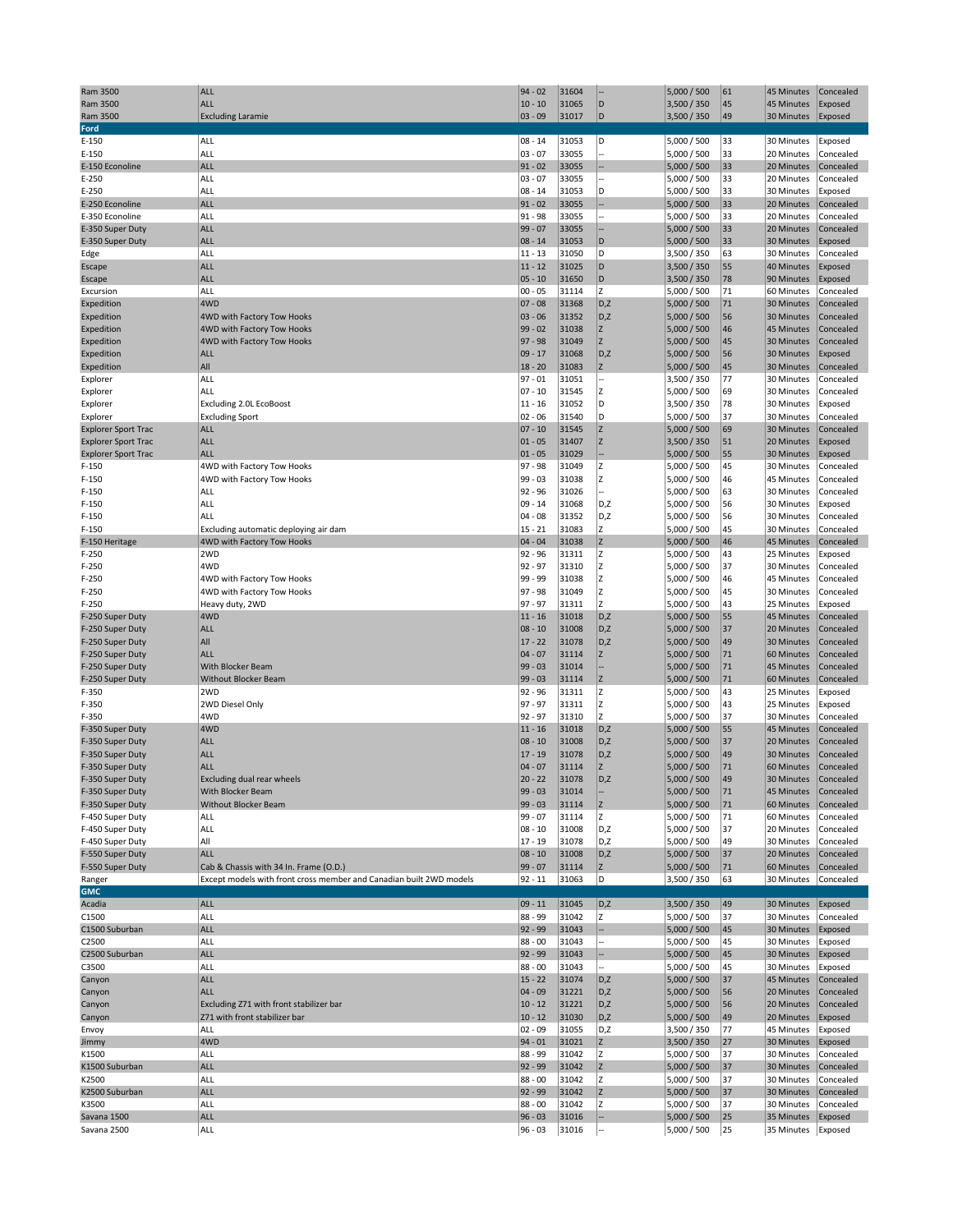| Ram 3500                   | <b>ALL</b>                                                          | $94 - 02$               | 31604          |          | 5,000 / 500                | 61       | 45 Minutes               | Concealed              |
|----------------------------|---------------------------------------------------------------------|-------------------------|----------------|----------|----------------------------|----------|--------------------------|------------------------|
| Ram 3500                   | ALL                                                                 | $10 - 10$               | 31065          | D        | 3,500 / 350                | 45       | 45 Minutes               | Exposed                |
| Ram 3500                   | <b>Excluding Laramie</b>                                            | $03 - 09$               | 31017          | D        | 3,500 / 350                | 49       | 30 Minutes               | Exposed                |
| Ford                       |                                                                     |                         |                |          |                            |          |                          |                        |
| $E-150$                    | ALL                                                                 | $08 - 14$               | 31053          | D        | 5,000 / 500                | 33       | 30 Minutes               | Exposed                |
| E-150                      | ALL                                                                 | $03 - 07$               | 33055          |          | 5,000 / 500                | 33       | 20 Minutes               | Concealed              |
| E-150 Econoline<br>$E-250$ | <b>ALL</b><br>ALL                                                   | $91 - 02$<br>$03 - 07$  | 33055<br>33055 |          | 5,000 / 500                | 33<br>33 | 20 Minutes<br>20 Minutes | Concealed<br>Concealed |
| E-250                      | <b>ALL</b>                                                          | $08 - 14$               | 31053          | D        | 5,000 / 500<br>5,000 / 500 | 33       | 30 Minutes               | Exposed                |
| E-250 Econoline            | <b>ALL</b>                                                          | $91 - 02$               | 33055          |          | 5,000 / 500                | 33       | 20 Minutes               | Concealed              |
| E-350 Econoline            | <b>ALL</b>                                                          | $91 - 98$               | 33055          |          | 5,000 / 500                | 33       | 20 Minutes               | Concealed              |
| E-350 Super Duty           | <b>ALL</b>                                                          | $99 - 07$               | 33055          |          | 5,000 / 500                | 33       | 20 Minutes               | Concealed              |
| E-350 Super Duty           | <b>ALL</b>                                                          | $08 - 14$               | 31053          | D        | 5,000 / 500                | 33       | 30 Minutes               | Exposed                |
| Edge                       | <b>ALL</b>                                                          | $11 - 13$               | 31050          | D        | 3,500 / 350                | 63       | 30 Minutes               | Concealed              |
| Escape                     | <b>ALL</b>                                                          | $11 - 12$               | 31025          | D        | 3,500 / 350                | 55       | 40 Minutes               | Exposed                |
| Escape                     | <b>ALL</b>                                                          | $05 - 10$               | 31650          | D        | 3,500 / 350                | 78       | 90 Minutes               | Exposed                |
| Excursion                  | ALL                                                                 | $00 - 05$               | 31114          | Z        | 5,000 / 500                | 71       | 60 Minutes               | Concealed              |
| Expedition                 | 4WD                                                                 | $07 - 08$               | 31368          | D,Z      | 5,000 / 500                | 71       | 30 Minutes               | Concealed              |
| Expedition                 | 4WD with Factory Tow Hooks                                          | $03 - 06$               | 31352          | D,Z      | 5,000 / 500                | 56       | 30 Minutes               | Concealed              |
| Expedition                 | 4WD with Factory Tow Hooks                                          | $99 - 02$               | 31038          | Z        | 5,000 / 500                | 46       | 45 Minutes               | Concealed              |
| Expedition                 | 4WD with Factory Tow Hooks                                          | $97 - 98$               | 31049          | Z        | 5,000 / 500                | 45       | 30 Minutes               | Concealed              |
| Expedition                 | <b>ALL</b>                                                          | $09 - 17$               | 31068          | D,Z      | 5,000 / 500                | 56       | 30 Minutes               | Exposed                |
| Expedition                 | All                                                                 | $18 - 20$               | 31083          | Z        | 5,000 / 500                | 45       | 30 Minutes               | Concealed              |
| Explorer                   | ALL                                                                 | $97 - 01$               | 31051          |          | 3,500 / 350                | 77       | 30 Minutes               | Concealed              |
| Explorer                   | ALL                                                                 | $07 - 10$               | 31545          | Z        | 5,000 / 500                | 69       | 30 Minutes               | Concealed              |
| Explorer                   | Excluding 2.0L EcoBoost                                             | $11 - 16$               | 31052          | D        | 3,500 / 350                | 78       | 30 Minutes               | Exposed                |
| Explorer                   | <b>Excluding Sport</b>                                              | $02 - 06$               | 31540          | D        | 5,000 / 500                | 37       | 30 Minutes               | Concealed              |
| <b>Explorer Sport Trac</b> | <b>ALL</b>                                                          | $07 - 10$               | 31545          | Z<br>Z   | 5,000 / 500                | 69       | 30 Minutes               | Concealed              |
| <b>Explorer Sport Trac</b> | <b>ALL</b>                                                          | $ 01 - 05$              | 31407          |          | 3,500 / 350                | 51       | 20 Minutes               | Exposed                |
| <b>Explorer Sport Trac</b> | <b>ALL</b>                                                          | $ 01 - 05$<br>$97 - 98$ | 31029          |          | 5,000 / 500                | 55       | 30 Minutes               | Exposed                |
| F-150                      | 4WD with Factory Tow Hooks                                          |                         | 31049          | Z        | 5,000 / 500                | 45       | 30 Minutes<br>45 Minutes | Concealed<br>Concealed |
| F-150                      | 4WD with Factory Tow Hooks                                          | $99 - 03$               | 31038          | Z<br>÷.  | 5,000 / 500                | 46       |                          |                        |
| F-150<br>F-150             | ALL<br>ALL                                                          | $92 - 96$<br>$09 - 14$  | 31026          | D,Z      | 5,000 / 500                | 63<br>56 | 30 Minutes<br>30 Minutes | Concealed              |
|                            |                                                                     | $04 - 08$               | 31068          |          | 5,000 / 500                |          |                          | Exposed                |
| F-150<br>F-150             | ALL                                                                 | $15 - 21$               | 31352<br>31083 | D,Z<br>Z | 5,000 / 500<br>5,000 / 500 | 56<br>45 | 30 Minutes<br>30 Minutes | Concealed<br>Concealed |
| F-150 Heritage             | Excluding automatic deploying air dam<br>4WD with Factory Tow Hooks | $04 - 04$               | 31038          | Z        | 5,000 / 500                | 46       | 45 Minutes               | Concealed              |
| $F-250$                    | 2WD                                                                 | $92 - 96$               | 31311          | Z        | 5,000 / 500                | 43       | 25 Minutes               | Exposed                |
| F-250                      | 4WD                                                                 | $92 - 97$               | 31310          | Z        | 5,000 / 500                | 37       | 30 Minutes               | Concealed              |
| F-250                      | 4WD with Factory Tow Hooks                                          | 99 - 99                 | 31038          | Z        | 5,000 / 500                | 46       | 45 Minutes               | Concealed              |
| F-250                      | 4WD with Factory Tow Hooks                                          | $97 - 98$               | 31049          | Z        | 5,000 / 500                | 45       | 30 Minutes               | Concealed              |
| F-250                      | Heavy duty, 2WD                                                     | $97 - 97$               | 31311          | Z        | 5,000 / 500                | 43       | 25 Minutes               | Exposed                |
| F-250 Super Duty           | 4WD                                                                 | $11 - 16$               | 31018          | D,Z      | 5,000 / 500                | 55       | 45 Minutes               | Concealed              |
| F-250 Super Duty           | <b>ALL</b>                                                          | $08 - 10$               | 31008          | D,Z      | 5,000 / 500                | 37       | 20 Minutes               | Concealed              |
| F-250 Super Duty           | All                                                                 | $17 - 22$               | 31078          | D,Z      | 5,000 / 500                | 49       | 30 Minutes               | Concealed              |
| F-250 Super Duty           | <b>ALL</b>                                                          | $04 - 07$               | 31114          | Z        | 5,000 / 500                | 71       | 60 Minutes               | Concealed              |
| F-250 Super Duty           | With Blocker Beam                                                   | $99 - 03$               | 31014          |          | 5,000 / 500                | 71       | 45 Minutes               | Concealed              |
| F-250 Super Duty           | <b>Without Blocker Beam</b>                                         | $99 - 03$               | 31114          | Z        | 5,000 / 500                | 71       | 60 Minutes               | Concealed              |
| F-350                      | 2WD                                                                 | $92 - 96$               | 31311          | Z        | 5,000 / 500                | 43       | 25 Minutes               | Exposed                |
| F-350                      | 2WD Diesel Only                                                     | $97 - 97$               | 31311          | Z        | 5,000 / 500                | 43       | 25 Minutes               | Exposed                |
| F-350                      | 4WD                                                                 | $92 - 97$               | 31310          | Z        | 5,000 / 500                | 37       | 30 Minutes               | Concealed              |
| F-350 Super Duty           | 4WD                                                                 | $11 - 16$               | 31018          | D,Z      | 5,000 / 500                | 55       | 45 Minutes               | Concealed              |
| F-350 Super Duty           | <b>ALL</b>                                                          | $08 - 10$               | 31008          | D,Z      | 5,000 / 500                | 37       | 20 Minutes               | Concealed              |
| F-350 Super Duty           | <b>ALL</b>                                                          | $17 - 19$               | 31078          | D,Z      | 5,000 / 500                | 49       | 30 Minutes               | Concealed              |
| F-350 Super Duty           | <b>ALL</b>                                                          | $04 - 07$               | 31114          | Z        | 5,000 / 500                | 71       | 60 Minutes               | Concealed              |
| F-350 Super Duty           | Excluding dual rear wheels                                          | $20 - 22$               | 31078          | D, Z     | 5,000 / 500                | 49       | 30 Minutes Concealed     |                        |
| F-350 Super Duty           | With Blocker Beam                                                   | $99 - 03$               | 31014          |          | 5,000 / 500                | 71       | 45 Minutes               | Concealed              |
| F-350 Super Duty           | Without Blocker Beam                                                | $99 - 03$               | 31114          | Z        | 5,000 / 500                | $71\,$   | 60 Minutes               | Concealed              |
| F-450 Super Duty           | ALL                                                                 | $99 - 07$               | 31114          | z        | 5,000 / 500                | 71       | 60 Minutes               | Concealed              |
| F-450 Super Duty           | ALL                                                                 | $08 - 10$               | 31008          | D,Z      | 5,000 / 500                | 37       | 20 Minutes               | Concealed              |
| F-450 Super Duty           | All                                                                 | $17 - 19$               | 31078          | D,Z      | 5,000 / 500                | 49       | 30 Minutes               | Concealed              |
| F-550 Super Duty           | <b>ALL</b>                                                          | $08 - 10$               | 31008          | D,Z      | 5,000 / 500                | 37       | 20 Minutes               | Concealed              |
| F-550 Super Duty           | Cab & Chassis with 34 In. Frame (O.D.)                              | $99 - 07$               | 31114          | z        | 5,000 / 500                | 71       | 60 Minutes               | Concealed              |
| Ranger                     | Except models with front cross member and Canadian built 2WD models | $92 - 11$               | 31063          | D        | 3,500 / 350                | 63       | 30 Minutes               | Concealed              |
| <b>GMC</b>                 |                                                                     |                         |                |          |                            |          |                          |                        |
| Acadia                     | <b>ALL</b>                                                          | $09 - 11$               | 31045          | D,Z      | 3,500 / 350                | 49       | 30 Minutes               | Exposed                |
| C1500                      | ALL                                                                 | 88 - 99                 | 31042          | Z        | 5,000 / 500                | 37       | 30 Minutes               | Concealed              |
| C1500 Suburban             |                                                                     |                         |                |          |                            |          |                          |                        |
| C2500                      | <b>ALL</b>                                                          | $92 - 99$               | 31043          |          | 5,000 / 500                | 45       | 30 Minutes               | Exposed                |
| C2500 Suburban             | ALL                                                                 | $88 - 00$               | 31043          |          | 5,000 / 500                | 45       | 30 Minutes               | Exposed                |
|                            | ALL                                                                 | $92 - 99$               | 31043          |          | 5,000 / 500                | 45       | 30 Minutes               | Exposed                |
| C3500                      | ALL                                                                 | $88 - 00$               | 31043          |          | 5,000 / 500                | 45       | 30 Minutes               | Exposed                |
| Canyon                     | <b>ALL</b>                                                          | $15 - 22$               | 31074          | D,Z      | 5,000 / 500                | 37       | 45 Minutes               | Concealed              |
| Canyon                     | <b>ALL</b>                                                          | $04 - 09$               | 31221          | D,Z      | 5,000 / 500                | 56       | 20 Minutes               | Concealed              |
| Canyon                     | Excluding Z71 with front stabilizer bar                             | $10 - 12$               | 31221          | D,Z      | 5,000 / 500                | 56       | 20 Minutes               | Concealed              |
| Canyon                     | Z71 with front stabilizer bar                                       | $10 - 12$               | 31030          | D,Z      | 5,000 / 500                | 49       | 20 Minutes               | Exposed                |
| Envoy                      | ALL                                                                 | $02 - 09$               | 31055          | D,Z      | 3,500 / 350                | 77       | 45 Minutes               | Exposed                |
| Jimmy                      | 4WD                                                                 | $94 - 01$               | 31021          | Z        | 3,500 / 350                | 27       | 30 Minutes               | Exposed                |
| K1500                      | ALL                                                                 | 88 - 99                 | 31042          | Z        | 5,000 / 500                | 37       | 30 Minutes               | Concealed              |
| K1500 Suburban             | <b>ALL</b>                                                          | $92 - 99$               | 31042          | Z        | 5,000 / 500                | 37       | 30 Minutes               | Concealed              |
| K2500                      | ALL                                                                 | $88 - 00$               | 31042          | Z        | 5,000 / 500                | 37       | 30 Minutes               | Concealed              |
| K2500 Suburban             | ALL                                                                 | $ 92 - 99$              | 31042          | Z        | 5,000 / 500                | 37       | 30 Minutes               | Concealed              |
| K3500                      | ALL                                                                 | $88 - 00$               | 31042          | Z        | 5,000 / 500                | 37       | 30 Minutes               | Concealed              |
| Savana 1500<br>Savana 2500 | <b>ALL</b><br>ALL                                                   | $96 - 03$<br>$96 - 03$  | 31016<br>31016 |          | 5,000 / 500<br>5,000 / 500 | 25<br>25 | 35 Minutes<br>35 Minutes | Exposed<br>Exposed     |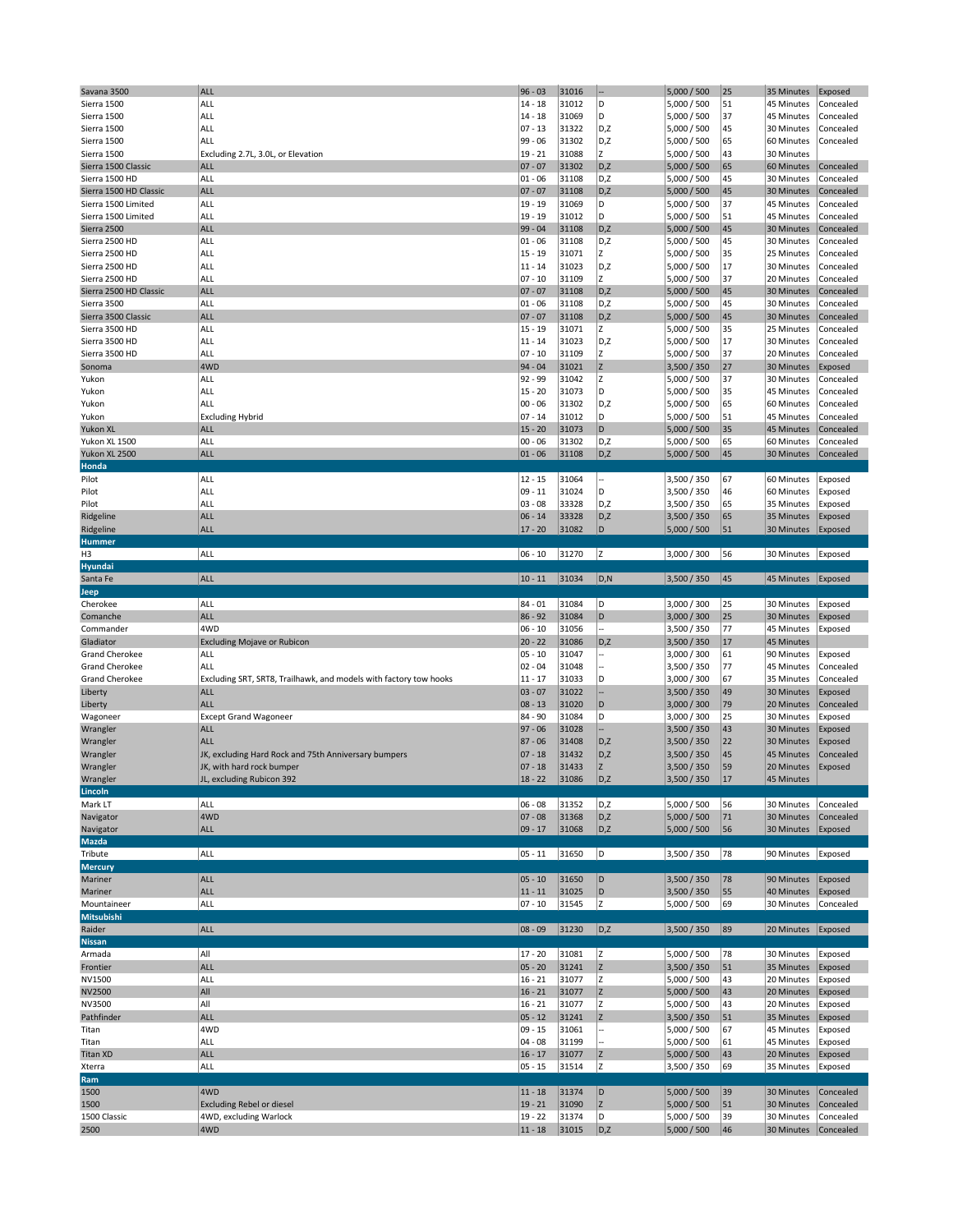| Savana 3500            | <b>ALL</b>                                                        | $96 - 03$              | 31016          | ÷              | 5,000 / 500                | 25       | 35 Minutes               | Exposed                |
|------------------------|-------------------------------------------------------------------|------------------------|----------------|----------------|----------------------------|----------|--------------------------|------------------------|
| Sierra 1500            | ALL                                                               | $14 - 18$              | 31012          | D              | 5,000 / 500                | 51       | 45 Minutes               | Concealed              |
|                        | ALL                                                               | $14 - 18$              | 31069          | D              | 5,000 / 500                | 37       |                          |                        |
| Sierra 1500            |                                                                   |                        |                |                |                            |          | 45 Minutes               | Concealed              |
| Sierra 1500            | ALL                                                               | $07 - 13$              | 31322          | D,Z            | 5,000 / 500                | 45       | 30 Minutes               | Concealed              |
| Sierra 1500            | ALL                                                               | 99 - 06                | 31302          | D,Z            | 5,000 / 500                | 65       | 60 Minutes               | Concealed              |
| Sierra 1500            | Excluding 2.7L, 3.0L, or Elevation                                | $19 - 21$              | 31088          | z              | 5,000 / 500                | 43       | 30 Minutes               |                        |
| Sierra 1500 Classic    | <b>ALL</b>                                                        | $07 - 07$              | 31302          | D,Z            | 5,000 / 500                | 65       | 60 Minutes               | Concealed              |
| Sierra 1500 HD         | ALL                                                               | $01 - 06$              | 31108          | D,Z            | 5,000 / 500                | 45       | 30 Minutes               | Concealed              |
|                        |                                                                   |                        |                |                |                            |          |                          |                        |
| Sierra 1500 HD Classic | <b>ALL</b>                                                        | $07 - 07$              | 31108          | D,Z            | 5,000 / 500                | 45       | 30 Minutes               | Concealed              |
| Sierra 1500 Limited    | ALL                                                               | 19 - 19                | 31069          | D              | 5,000 / 500                | 37       | 45 Minutes               | Concealed              |
| Sierra 1500 Limited    | ALL                                                               | $19 - 19$              | 31012          | D              | 5,000 / 500                | 51       | 45 Minutes               | Concealed              |
| Sierra 2500            | <b>ALL</b>                                                        | 99 - 04                | 31108          | D,Z            | 5,000 / 500                | 45       | 30 Minutes               | Concealed              |
| Sierra 2500 HD         | ALL                                                               | $01 - 06$              | 31108          | D,Z            | 5,000 / 500                | 45       | 30 Minutes               | Concealed              |
|                        |                                                                   |                        |                |                |                            |          |                          |                        |
| Sierra 2500 HD         | ALL                                                               | $15 - 19$              | 31071          | z              | 5,000 / 500                | 35       | 25 Minutes               | Concealed              |
| Sierra 2500 HD         | ALL                                                               | $11 - 14$              | 31023          | D,Z            | 5,000 / 500                | 17       | 30 Minutes               | Concealed              |
| Sierra 2500 HD         | ALL                                                               | $07 - 10$              | 31109          | Z              | 5,000 / 500                | 37       | 20 Minutes               | Concealed              |
| Sierra 2500 HD Classic | <b>ALL</b>                                                        | $07 - 07$              | 31108          | D,Z            | 5,000 / 500                | 45       | 30 Minutes               | Concealed              |
|                        |                                                                   |                        |                |                |                            |          |                          |                        |
| Sierra 3500            | ALL                                                               | $01 - 06$              | 31108          | D,Z            | 5,000 / 500                | 45       | 30 Minutes               | Concealed              |
| Sierra 3500 Classic    | <b>ALL</b>                                                        | $07 - 07$              | 31108          | D,Z            | 5,000 / 500                | 45       | 30 Minutes               | Concealed              |
| Sierra 3500 HD         | ALL                                                               | $15 - 19$              | 31071          | z              | 5,000 / 500                | 35       | 25 Minutes               | Concealed              |
| Sierra 3500 HD         | ALL                                                               | $11 - 14$              | 31023          | D,Z            | 5,000 / 500                | 17       | 30 Minutes               | Concealed              |
|                        | ALL                                                               | $07 - 10$              | 31109          | Z              | 5,000 / 500                | 37       | 20 Minutes               | Concealed              |
| Sierra 3500 HD         |                                                                   |                        |                |                |                            |          |                          |                        |
| Sonoma                 | 4WD                                                               | $94 - 04$              | 31021          | Z              | 3,500 / 350                | 27       | 30 Minutes               | Exposed                |
| Yukon                  | ALL                                                               | 92 - 99                | 31042          | z              | 5,000 / 500                | 37       | 30 Minutes               | Concealed              |
| Yukon                  | ALL                                                               | $15 - 20$              | 31073          | D              | 5,000 / 500                | 35       | 45 Minutes               | Concealed              |
| Yukon                  | ALL                                                               | $00 - 06$              | 31302          | D,Z            | 5,000 / 500                | 65       | 60 Minutes               | Concealed              |
|                        |                                                                   |                        | 31012          | D              |                            |          |                          |                        |
| Yukon                  | <b>Excluding Hybrid</b>                                           | $07 - 14$              |                |                | 5,000 / 500                | 51       | 45 Minutes               | Concealed              |
| Yukon XL               | ALL                                                               | $15 - 20$              | 31073          | D              | 5,000 / 500                | 35       | 45 Minutes               | Concealed              |
| Yukon XL 1500          | ALL                                                               | $00 - 06$              | 31302          | D,Z            | 5,000 / 500                | 65       | 60 Minutes               | Concealed              |
| Yukon XL 2500          | <b>ALL</b>                                                        | $01 - 06$              | 31108          | D,Z            | 5,000 / 500                | 45       | 30 Minutes               | Concealed              |
| Honda                  |                                                                   |                        |                |                |                            |          |                          |                        |
|                        |                                                                   |                        |                |                |                            |          |                          |                        |
| Pilot                  | ALL                                                               | $12 - 15$              | 31064          |                | 3,500 / 350                | 67       | 60 Minutes               | Exposed                |
| Pilot                  | ALL                                                               | $09 - 11$              | 31024          | D              | 3,500 / 350                | 46       | 60 Minutes               | Exposed                |
| Pilot                  | ALL                                                               | $03 - 08$              | 33328          | D,Z            | 3,500 / 350                | 65       | 35 Minutes               | Exposed                |
|                        | <b>ALL</b>                                                        | $06 - 14$              | 33328          | D,Z            | 3,500 / 350                | 65       | 35 Minutes               | Exposed                |
| Ridgeline              |                                                                   |                        |                |                |                            |          |                          |                        |
| Ridgeline              | <b>ALL</b>                                                        | $17 - 20$              | 31082          | D              | 5,000 / 500                | 51       | 30 Minutes               | Exposed                |
| Hummer                 |                                                                   |                        |                |                |                            |          |                          |                        |
| H3                     | ALL                                                               | $06 - 10$              | 31270          | Iz.            | 3,000 / 300                | 56       | 30 Minutes               | Exposed                |
| Hyundai                |                                                                   |                        |                |                |                            |          |                          |                        |
| Santa Fe               | <b>ALL</b>                                                        | $10 - 11$              | 31034          | D, N           | 3,500 / 350                | 45       | 45 Minutes               | Exposed                |
|                        |                                                                   |                        |                |                |                            |          |                          |                        |
| Jeep                   |                                                                   |                        |                |                |                            |          |                          |                        |
| Cherokee               | ALL                                                               | $84 - 01$              | 31084          | D              | 3,000 / 300                | 25       | 30 Minutes               | Exposed                |
|                        |                                                                   |                        |                |                |                            |          |                          |                        |
|                        |                                                                   |                        |                |                |                            |          |                          |                        |
| Comanche               | <b>ALL</b>                                                        | $86 - 92$              | 31084          | D              | 3,000 / 300                | 25       | 30 Minutes               | Exposed                |
| Commander              | 4WD                                                               | $06 - 10$              | 31056          |                | 3,500 / 350                | 77       | 45 Minutes               | Exposed                |
| Gladiator              | <b>Excluding Mojave or Rubicon</b>                                | $20 - 22$              | 31086          | D,Z            | 3,500 / 350                | 17       | 45 Minutes               |                        |
| <b>Grand Cherokee</b>  | ALL                                                               | $05 - 10$              | 31047          |                | 3,000 / 300                | 61       | 90 Minutes               | Exposed                |
|                        |                                                                   |                        |                |                |                            |          |                          |                        |
| <b>Grand Cherokee</b>  | ALL                                                               | $02 - 04$              | 31048          |                | 3,500 / 350                | 77       | 45 Minutes               | Concealed              |
| <b>Grand Cherokee</b>  | Excluding SRT, SRT8, Trailhawk, and models with factory tow hooks | $11 - 17$              | 31033          | D              | 3,000 / 300                | 67       | 35 Minutes               | Concealed              |
| Liberty                | <b>ALL</b>                                                        | $03 - 07$              | 31022          |                | 3,500 / 350                | 49       | 30 Minutes               | Exposed                |
| Liberty                | <b>ALL</b>                                                        | $08 - 13$              | 31020          | D              | 3,000 / 300                | 79       | 20 Minutes               | Concealed              |
|                        |                                                                   |                        |                | D              |                            |          | 30 Minutes               |                        |
| Wagoneer               | <b>Except Grand Wagoneer</b>                                      | 84 - 90                | 31084          |                | 3,000 / 300                | 25       |                          | Exposed                |
| Wrangler               | <b>ALL</b>                                                        | $97 - 06$              | 31028          |                | 3,500 / 350                | 43       | 30 Minutes               | Exposed                |
| Wrangler               | <b>ALL</b>                                                        | $87 - 06$              | 31408          | D,Z            | 3,500 / 350                | 22       | 30 Minutes               | Exposed                |
| Wrangler               | JK, excluding Hard Rock and 75th Anniversary bumpers              | $07 - 18$              | 31432          | D,Z            | 3,500 / 350                | 45       | 45 Minutes               | Concealed              |
|                        | JK, with hard rock bumper                                         | $07 - 18$              | 31433          | Z              | 3,500 / 350                | 59       | 20 Minutes               | Exposed                |
| Wrangler               |                                                                   |                        | 31086          | D, Z           |                            | 17       |                          |                        |
| Wrangler               | JL, excluding Rubicon 392                                         | $18 - 22$              |                |                | 3,500 / 350                |          | 45 Minutes               |                        |
| Lincoln                |                                                                   |                        |                |                |                            |          |                          |                        |
| Mark LT                | ALL                                                               | $06 - 08$              | 31352          | D,Z            | 5,000 / 500                | 56       | 30 Minutes               | Concealed              |
| Navigator              | 4WD                                                               | $07 - 08$              | 31368          | D,Z            | 5,000 / 500                | 71       | 30 Minutes               | Concealed              |
| Navigator              | <b>ALL</b>                                                        | $09 - 17$              | 31068          | D,Z            | 5,000 / 500                | 56       | 30 Minutes               | Exposed                |
|                        |                                                                   |                        |                |                |                            |          |                          |                        |
| Mazda                  |                                                                   |                        |                |                |                            |          |                          |                        |
| Tribute                | ALL                                                               | $05 - 11$              | 31650          | D              | 3,500 / 350                | 78       | 90 Minutes               | Exposed                |
| <b>Mercury</b>         |                                                                   |                        |                |                |                            |          |                          |                        |
| Mariner                | ALL                                                               | $05 - 10$              | 31650          | D              | 3,500 / 350                | 78       | 90 Minutes               | Exposed                |
|                        |                                                                   |                        |                |                |                            |          |                          |                        |
| Mariner                | <b>ALL</b>                                                        | $11 - 11$              | 31025          | D              | 3,500 / 350                | 55       | 40 Minutes               | Exposed                |
| Mountaineer            | ALL                                                               | $07 - 10$              | 31545          | z              | 5,000 / 500                | 69       | 30 Minutes               | Concealed              |
| Mitsubishi             |                                                                   |                        |                |                |                            |          |                          |                        |
| Raider                 | ALL                                                               | $ 08 - 09$             | 31230          | D,Z            | 3,500 / 350                | 89       | 20 Minutes               | Exposed                |
| <b>Nissan</b>          |                                                                   |                        |                |                |                            |          |                          |                        |
|                        |                                                                   |                        |                |                |                            |          |                          |                        |
| Armada                 | All                                                               | $17 - 20$              | 31081          | Z              | 5,000 / 500                | 78       | 30 Minutes               | Exposed                |
| Frontier               | <b>ALL</b>                                                        | $05 - 20$              | 31241          | Z              | 3,500 / 350                | 51       | 35 Minutes               | Exposed                |
| NV1500                 | ALL                                                               | $16 - 21$              | 31077          | z              | 5,000 / 500                | 43       | 20 Minutes               | Exposed                |
| <b>NV2500</b>          | All                                                               | $16 - 21$              | 31077          | Z              | 5,000 / 500                | 43       | 20 Minutes               | Exposed                |
|                        | All                                                               |                        | 31077          | z              |                            | 43       |                          |                        |
| NV3500                 |                                                                   | $16 - 21$              |                |                | 5,000 / 500                |          | 20 Minutes               | Exposed                |
| Pathfinder             | <b>ALL</b>                                                        | $05 - 12$              | 31241          | $\overline{z}$ | 3,500 / 350                | 51       | 35 Minutes               | Exposed                |
| Titan                  | 4WD                                                               | $09 - 15$              | 31061          |                | 5,000 / 500                | 67       | 45 Minutes               | Exposed                |
| Titan                  | ALL                                                               | $04 - 08$              | 31199          |                | 5,000 / 500                | 61       | 45 Minutes               | Exposed                |
|                        |                                                                   |                        |                |                |                            |          |                          |                        |
| <b>Titan XD</b>        | <b>ALL</b>                                                        | $16 - 17$              | 31077          | Z              | 5,000 / 500                | 43       | 20 Minutes               | Exposed                |
| Xterra                 | ALL                                                               | $05 - 15$              | 31514          | z              | 3,500 / 350                | 69       | 35 Minutes               | Exposed                |
| Ram                    |                                                                   |                        |                |                |                            |          |                          |                        |
| 1500                   | 4WD                                                               | $11 - 18$              | 31374          | D              | 5,000 / 500                | 39       | 30 Minutes               | Concealed              |
| 1500                   | <b>Excluding Rebel or diesel</b>                                  | $19 - 21$              | 31090          | $\overline{z}$ | 5,000 / 500                | 51       | 30 Minutes               | Concealed              |
|                        |                                                                   |                        |                |                |                            |          |                          |                        |
| 1500 Classic<br>2500   | 4WD, excluding Warlock<br>4WD                                     | $19 - 22$<br>$11 - 18$ | 31374<br>31015 | D<br>D,Z       | 5,000 / 500<br>5,000 / 500 | 39<br>46 | 30 Minutes<br>30 Minutes | Concealed<br>Concealed |